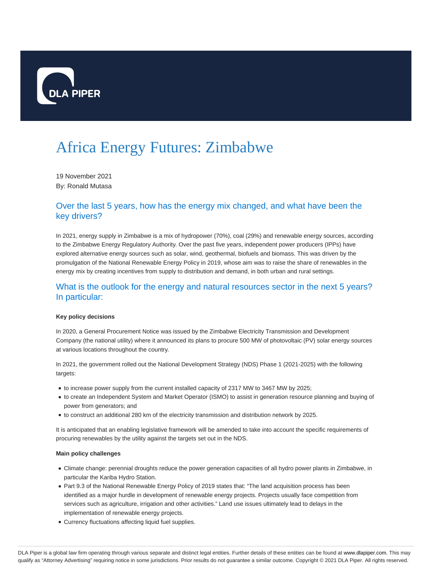

# Africa Energy Futures: Zimbabwe

19 November 2021 By: Ronald Mutasa

## Over the last 5 years, how has the energy mix changed, and what have been the key drivers?

In 2021, energy supply in Zimbabwe is a mix of hydropower (70%), coal (29%) and renewable energy sources, according to the Zimbabwe Energy Regulatory Authority. Over the past five years, independent power producers (IPPs) have explored alternative energy sources such as solar, wind, geothermal, biofuels and biomass. This was driven by the promulgation of the National Renewable Energy Policy in 2019, whose aim was to raise the share of renewables in the energy mix by creating incentives from supply to distribution and demand, in both urban and rural settings.

## What is the outlook for the energy and natural resources sector in the next 5 years? In particular:

### **Key policy decisions**

In 2020, a General Procurement Notice was issued by the Zimbabwe Electricity Transmission and Development Company (the national utility) where it announced its plans to procure 500 MW of photovoltaic (PV) solar energy sources at various locations throughout the country.

In 2021, the government rolled out the National Development Strategy (NDS) Phase 1 (2021-2025) with the following targets:

- to increase power supply from the current installed capacity of 2317 MW to 3467 MW by 2025;
- to create an Independent System and Market Operator (ISMO) to assist in generation resource planning and buying of power from generators; and
- to construct an additional 280 km of the electricity transmission and distribution network by 2025.

It is anticipated that an enabling legislative framework will be amended to take into account the specific requirements of procuring renewables by the utility against the targets set out in the NDS.

### **Main policy challenges**

- Climate change: perennial droughts reduce the power generation capacities of all hydro power plants in Zimbabwe, in particular the Kariba Hydro Station.
- Part 9.3 of the National Renewable Energy Policy of 2019 states that: "The land acquisition process has been identified as a major hurdle in development of renewable energy projects. Projects usually face competition from services such as agriculture, irrigation and other activities." Land use issues ultimately lead to delays in the implementation of renewable energy projects.
- Currency fluctuations affecting liquid fuel supplies.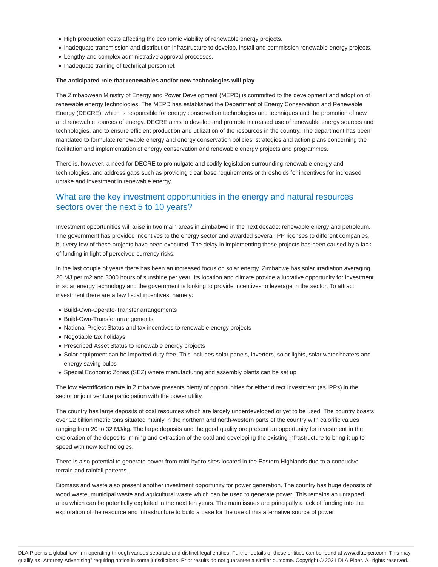- High production costs affecting the economic viability of renewable energy projects.
- Inadequate transmission and distribution infrastructure to develop, install and commission renewable energy projects.
- Lengthy and complex administrative approval processes.
- Inadequate training of technical personnel.

#### **The anticipated role that renewables and/or new technologies will play**

The Zimbabwean Ministry of Energy and Power Development (MEPD) is committed to the development and adoption of renewable energy technologies. The MEPD has established the Department of Energy Conservation and Renewable Energy (DECRE), which is responsible for energy conservation technologies and techniques and the promotion of new and renewable sources of energy. DECRE aims to develop and promote increased use of renewable energy sources and technologies, and to ensure efficient production and utilization of the resources in the country. The department has been mandated to formulate renewable energy and energy conservation policies, strategies and action plans concerning the facilitation and implementation of energy conservation and renewable energy projects and programmes.

There is, however, a need for DECRE to promulgate and codify legislation surrounding renewable energy and technologies, and address gaps such as providing clear base requirements or thresholds for incentives for increased uptake and investment in renewable energy.

## What are the key investment opportunities in the energy and natural resources sectors over the next 5 to 10 years?

Investment opportunities will arise in two main areas in Zimbabwe in the next decade: renewable energy and petroleum. The government has provided incentives to the energy sector and awarded several IPP licenses to different companies, but very few of these projects have been executed. The delay in implementing these projects has been caused by a lack of funding in light of perceived currency risks.

In the last couple of years there has been an increased focus on solar energy. Zimbabwe has solar irradiation averaging 20 MJ per m2 and 3000 hours of sunshine per year. Its location and climate provide a lucrative opportunity for investment in solar energy technology and the government is looking to provide incentives to leverage in the sector. To attract investment there are a few fiscal incentives, namely:

- Build-Own-Operate-Transfer arrangements
- Build-Own-Transfer arrangements
- National Project Status and tax incentives to renewable energy projects
- Negotiable tax holidays
- Prescribed Asset Status to renewable energy projects
- Solar equipment can be imported duty free. This includes solar panels, invertors, solar lights, solar water heaters and energy saving bulbs
- Special Economic Zones (SEZ) where manufacturing and assembly plants can be set up

The low electrification rate in Zimbabwe presents plenty of opportunities for either direct investment (as IPPs) in the sector or joint venture participation with the power utility.

The country has large deposits of coal resources which are largely underdeveloped or yet to be used. The country boasts over 12 billion metric tons situated mainly in the northern and north-western parts of the country with calorific values ranging from 20 to 32 MJ/kg. The large deposits and the good quality ore present an opportunity for investment in the exploration of the deposits, mining and extraction of the coal and developing the existing infrastructure to bring it up to speed with new technologies.

There is also potential to generate power from mini hydro sites located in the Eastern Highlands due to a conducive terrain and rainfall patterns.

Biomass and waste also present another investment opportunity for power generation. The country has huge deposits of wood waste, municipal waste and agricultural waste which can be used to generate power. This remains an untapped area which can be potentially exploited in the next ten years. The main issues are principally a lack of funding into the exploration of the resource and infrastructure to build a base for the use of this alternative source of power.